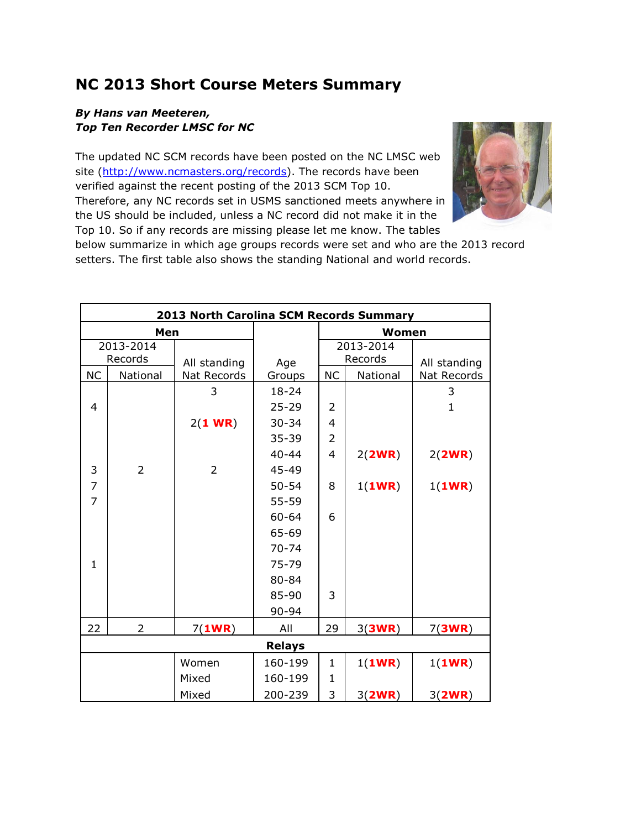## **NC 2013 Short Course Meters Summary**

## *By Hans van Meeteren, Top Ten Recorder LMSC for NC*

The updated NC SCM records have been posted on the NC LMSC web site [\(http://www.ncmasters.org/records\)](http://www.ncmasters.org/records). The records have been verified against the recent posting of the 2013 SCM Top 10. Therefore, any NC records set in USMS sanctioned meets anywhere in the US should be included, unless a NC record did not make it in the Top 10. So if any records are missing please let me know. The tables

![](_page_0_Picture_3.jpeg)

below summarize in which age groups records were set and who are the 2013 record setters. The first table also shows the standing National and world records.

| 2013 North Carolina SCM Records Summary |                |                |           |                |          |              |  |  |  |
|-----------------------------------------|----------------|----------------|-----------|----------------|----------|--------------|--|--|--|
| Men                                     |                |                |           |                | Women    |              |  |  |  |
| 2013-2014                               |                |                |           | 2013-2014      |          |              |  |  |  |
| Records                                 |                | All standing   | Age       | Records        |          | All standing |  |  |  |
| <b>NC</b>                               | National       | Nat Records    | Groups    | <b>NC</b>      | National | Nat Records  |  |  |  |
|                                         |                | 3              | $18 - 24$ |                |          | 3            |  |  |  |
| $\overline{4}$                          |                |                | $25 - 29$ | $\overline{2}$ |          | 1            |  |  |  |
|                                         |                | $2(1$ WR)      | $30 - 34$ | 4              |          |              |  |  |  |
|                                         |                |                | $35 - 39$ | $\overline{2}$ |          |              |  |  |  |
|                                         |                |                | $40 - 44$ | 4              | 2(2WR)   | 2(2WR)       |  |  |  |
| 3                                       | $\overline{2}$ | $\overline{2}$ | 45-49     |                |          |              |  |  |  |
| $\overline{7}$                          |                |                | $50 - 54$ | 8              | 1(1WR)   | 1(1WR)       |  |  |  |
| $\overline{7}$                          |                |                | 55-59     |                |          |              |  |  |  |
|                                         |                |                | 60-64     | 6              |          |              |  |  |  |
|                                         |                |                | 65-69     |                |          |              |  |  |  |
|                                         |                |                | $70 - 74$ |                |          |              |  |  |  |
| $\mathbf{1}$                            |                |                | 75-79     |                |          |              |  |  |  |
|                                         |                |                | 80-84     |                |          |              |  |  |  |
|                                         |                |                | 85-90     | 3              |          |              |  |  |  |
|                                         |                |                | 90-94     |                |          |              |  |  |  |
| 22                                      | $\overline{2}$ | 7(1WR)         | All       | 29             | 3(3WR)   | 7(3WR)       |  |  |  |
| <b>Relays</b>                           |                |                |           |                |          |              |  |  |  |
|                                         |                | Women          | 160-199   | $\mathbf{1}$   | 1(1WR)   | 1(1WR)       |  |  |  |
|                                         |                | Mixed          | 160-199   | $\mathbf{1}$   |          |              |  |  |  |
|                                         |                | Mixed          | 200-239   | 3              | 3(2WR)   | 3(2WR)       |  |  |  |